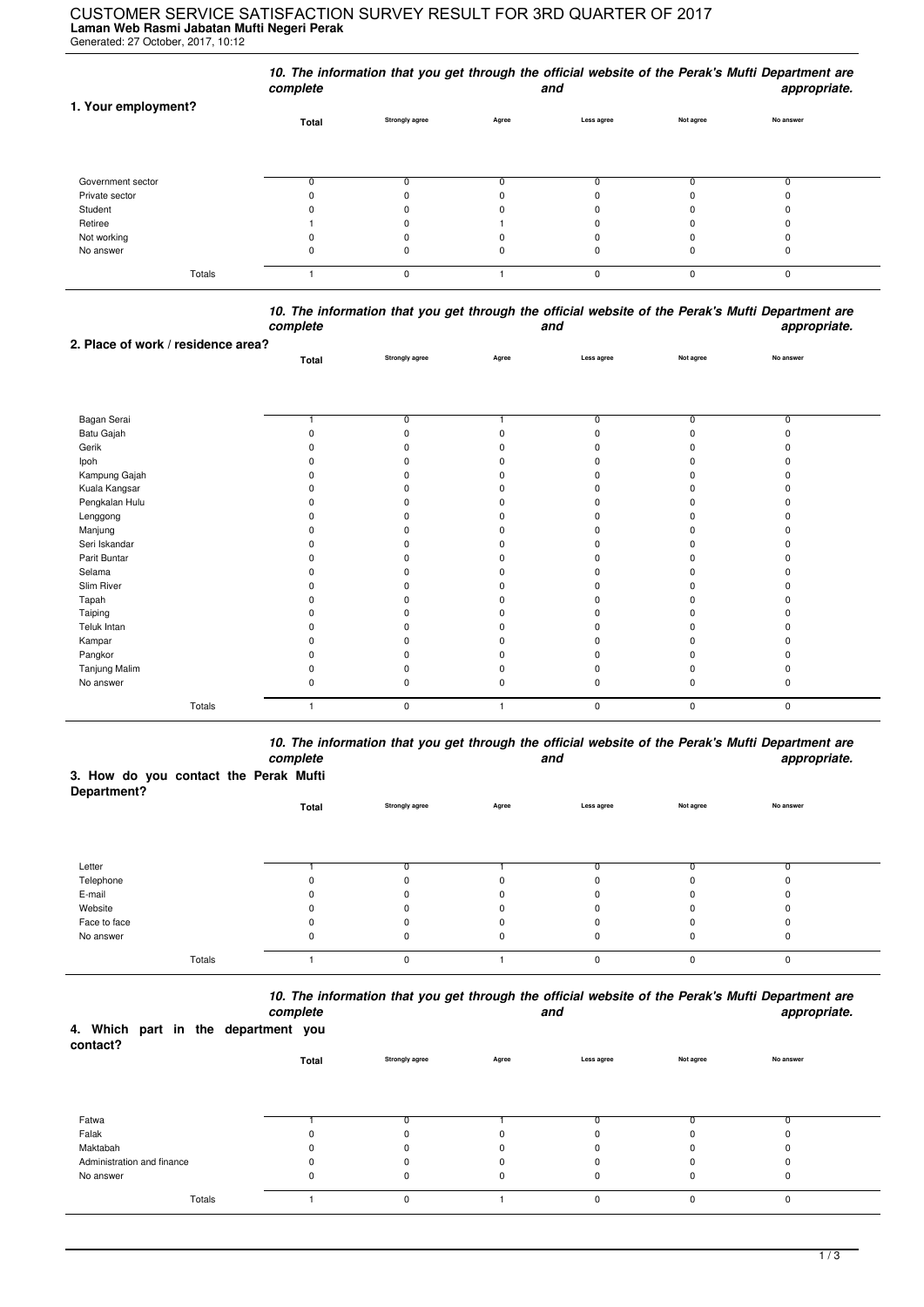## **Laman Web Rasmi Jabatan Mufti Negeri Perak** CUSTOMER SERVICE SATISFACTION SURVEY RESULT FOR 3RD QUARTER OF 2017

Generated: 27 October, 2017, 10:12

|                     | complete     |                       |       | and        |           | 10. The information that you get through the official website of the Perak's Mufti Department are<br>appropriate. |
|---------------------|--------------|-----------------------|-------|------------|-----------|-------------------------------------------------------------------------------------------------------------------|
| 1. Your employment? | <b>Total</b> | <b>Strongly agree</b> | Agree | Less agree | Not agree | No answer                                                                                                         |
| Government sector   |              |                       |       |            |           |                                                                                                                   |
| Private sector      |              |                       |       |            |           |                                                                                                                   |
| Student             |              |                       |       |            |           |                                                                                                                   |
| Retiree             |              |                       |       |            |           |                                                                                                                   |
| Not working         |              | $\Omega$              |       |            |           |                                                                                                                   |
| No answer           |              |                       |       |            |           | 0                                                                                                                 |
| Totals              |              | $\mathbf 0$           |       | $\Omega$   | $\Omega$  | 0                                                                                                                 |

*10. The information that you get through the official website of the Perak's Mufti Department are complete and appropriate.*

| 2. Place of work / residence area? |       |                       |          |                |                |                |  |
|------------------------------------|-------|-----------------------|----------|----------------|----------------|----------------|--|
|                                    | Total | <b>Strongly agree</b> | Agree    | Less agree     | Not agree      | No answer      |  |
|                                    |       |                       |          |                |                |                |  |
|                                    |       |                       |          |                |                |                |  |
|                                    |       |                       |          |                |                |                |  |
| Bagan Serai                        |       | $\overline{0}$        |          | $\overline{0}$ | $\overline{0}$ | $\overline{0}$ |  |
| Batu Gajah                         |       | $\Omega$              |          |                | n              | $\Omega$       |  |
| Gerik                              |       | O                     |          |                |                |                |  |
| Ipoh                               |       | n                     |          |                |                |                |  |
| Kampung Gajah                      |       | n                     |          |                |                |                |  |
| Kuala Kangsar                      |       | <sup>0</sup>          |          |                |                |                |  |
| Pengkalan Hulu                     |       | O                     |          |                |                |                |  |
| Lenggong                           |       | O                     |          |                |                |                |  |
| Manjung                            |       |                       |          |                |                |                |  |
| Seri Iskandar                      |       | <sup>0</sup>          |          |                |                |                |  |
| Parit Buntar                       |       | O                     |          |                |                |                |  |
| Selama                             |       | O                     |          |                |                |                |  |
| Slim River                         |       | O                     |          |                |                |                |  |
| Tapah                              |       | O                     |          |                |                |                |  |
| Taiping                            |       | O                     |          |                |                |                |  |
| Teluk Intan                        |       | O                     |          |                |                |                |  |
| Kampar                             |       | O                     |          |                |                |                |  |
| Pangkor                            |       | $\Omega$              |          |                |                |                |  |
| Tanjung Malim                      |       |                       |          |                |                |                |  |
| No answer                          |       | $\mathbf 0$           | $\Omega$ | ŋ              | 0              | 0              |  |
| Totals                             |       | $\mathbf 0$           |          | 0              | 0              | 0              |  |

*10. The information that you get through the official website of the Perak's Mufti Department are complete and appropriate.*

## **3. How do you contact the Perak Mufti**

| Department?  |       |                       |              |            |           |           |  |
|--------------|-------|-----------------------|--------------|------------|-----------|-----------|--|
|              | Total | <b>Strongly agree</b> | Agree        | Less agree | Not agree | No answer |  |
|              |       |                       |              |            |           |           |  |
|              |       |                       |              |            |           |           |  |
|              |       |                       |              |            |           |           |  |
| Letter       |       |                       |              |            |           | $\sim$    |  |
| Telephone    |       | $\Omega$              | <sup>0</sup> |            |           |           |  |
| E-mail       |       | 0                     | 0            |            |           | 0         |  |
| Website      |       | $\Omega$              | 0            |            |           | 0         |  |
| Face to face |       | $\Omega$              | $\Omega$     |            |           | 0         |  |
| No answer    |       | 0                     | 0            |            |           | 0         |  |
| Totals       |       | 0                     |              | $\Omega$   | $\Omega$  | 0         |  |

*10. The information that you get through the official website of the Perak's Mufti Department are*

| 4. Which part in the department you<br>contact? |        | complete |       |                |          | and        |           | appropriate. |
|-------------------------------------------------|--------|----------|-------|----------------|----------|------------|-----------|--------------|
|                                                 |        |          | Total | Strongly agree | Agree    | Less agree | Not agree | No answer    |
|                                                 |        |          |       |                |          |            |           |              |
| Fatwa                                           |        |          |       |                |          |            |           |              |
| Falak                                           |        |          |       |                | $\Omega$ |            |           |              |
| Maktabah                                        |        |          |       |                | $\Omega$ |            |           |              |
| Administration and finance                      |        |          |       |                | $\Omega$ |            |           | 0            |
| No answer                                       |        |          | υ     | 0              | 0        | 0          |           | 0            |
|                                                 | Totals |          |       | 0              |          | 0          | O         | 0            |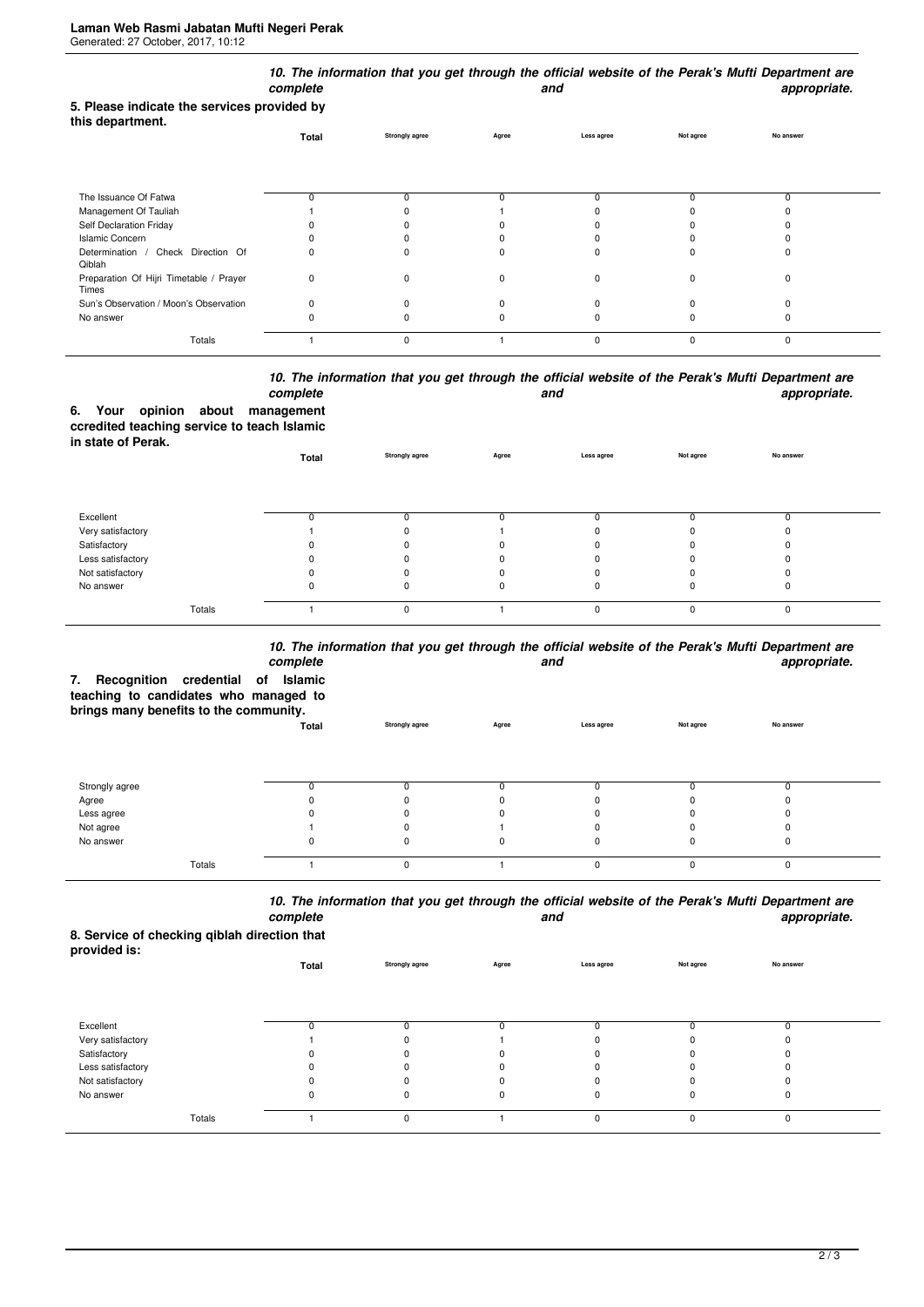|                                                                 | complete |                       |       | and          |             | 10. The information that you get through the official website of the Perak's Mufti Department are<br>appropriate. |
|-----------------------------------------------------------------|----------|-----------------------|-------|--------------|-------------|-------------------------------------------------------------------------------------------------------------------|
| 5. Please indicate the services provided by<br>this department. |          |                       |       |              |             |                                                                                                                   |
|                                                                 | Total    | <b>Strongly agree</b> | Agree | Less agree   | Not agree   | No answer                                                                                                         |
|                                                                 |          |                       |       |              |             |                                                                                                                   |
| The Issuance Of Fatwa                                           |          | $\Omega$              |       |              | 0           | 0                                                                                                                 |
| Management Of Tauliah                                           |          |                       |       |              |             |                                                                                                                   |
| Self Declaration Friday                                         |          |                       |       |              |             |                                                                                                                   |
| <b>Islamic Concern</b>                                          |          |                       |       |              |             |                                                                                                                   |
| Determination /<br>Check Direction Of<br>Qiblah                 |          |                       |       |              |             | ŋ                                                                                                                 |
| Preparation Of Hijri Timetable / Prayer<br>Times                | 0        | $\Omega$              | n     | <sup>0</sup> | n           | 0                                                                                                                 |
| Sun's Observation / Moon's Observation                          | $\Omega$ | O                     |       |              |             | ŋ                                                                                                                 |
| No answer                                                       |          |                       |       |              |             | ŋ                                                                                                                 |
| Totals                                                          |          | $\mathbf 0$           |       | $\mathbf 0$  | $\mathbf 0$ | 0                                                                                                                 |

## *10. The information that you get through the official website of the Perak's Mufti Department are complete and appropriate.*

**6. Your opinion about management ccredited teaching service to teach Islamic in state of Perak.**

| $111$ vivid VI I vivid. | Total | Strongly agree | Agree | Less agree | Not agree | No answer |  |
|-------------------------|-------|----------------|-------|------------|-----------|-----------|--|
|                         |       |                |       |            |           |           |  |
| Excellent               |       |                |       |            |           | ш         |  |
| Very satisfactory       |       |                |       |            |           |           |  |
| Satisfactory            |       |                | 0     |            |           |           |  |
| Less satisfactory       |       |                |       |            |           |           |  |
| Not satisfactory        |       |                |       |            |           |           |  |
| No answer               | υ     | 0              | 0     | Ü          | 0         | 0         |  |
| Totals                  |       | $\Omega$       |       | 0          | O.        | $\Omega$  |  |

## *10. The information that you get through the official website of the Perak's Mufti Department are*

| Recognition credential of<br>7.<br>teaching to candidates who managed to<br>brings many benefits to the community. | iv. The implification and you get anough the onlotal website of the Feral 3 marti beparament are<br>appropriate. |                       |       |              |           |           |
|--------------------------------------------------------------------------------------------------------------------|------------------------------------------------------------------------------------------------------------------|-----------------------|-------|--------------|-----------|-----------|
|                                                                                                                    | Total                                                                                                            | <b>Strongly agree</b> | Agree | Less agree   | Not agree | No answer |
| Strongly agree                                                                                                     |                                                                                                                  |                       |       | <sup>0</sup> |           |           |
| Agree                                                                                                              |                                                                                                                  |                       |       |              |           |           |
| Less agree                                                                                                         |                                                                                                                  |                       |       |              |           |           |
| Not agree                                                                                                          |                                                                                                                  |                       |       | ŋ            |           |           |
| No answer                                                                                                          |                                                                                                                  | 0                     | 0     | 0            | 0         |           |
| Totals                                                                                                             |                                                                                                                  | $\Omega$              |       | 0            | $\Omega$  | $\Omega$  |

*10. The information that you get through the official website of the Perak's Mufti Department are* **and** and **appropriate.** 

**8. Service of checking qiblah direction that provided is:**

| provided is.      | Total        | Strongly agree | Agree | Less agree  | Not agree | No answer |  |
|-------------------|--------------|----------------|-------|-------------|-----------|-----------|--|
| Excellent         | <sup>0</sup> |                |       |             |           |           |  |
| Very satisfactory |              |                |       | 0           |           |           |  |
| Satisfactory      |              |                |       | 0           |           |           |  |
| Less satisfactory |              |                |       | 0           |           |           |  |
| Not satisfactory  |              |                |       |             |           |           |  |
| No answer         | 0            | ŋ              |       | 0           | 0         | υ         |  |
| Totals            |              | $\Omega$       |       | $\mathbf 0$ | $\Omega$  | 0         |  |